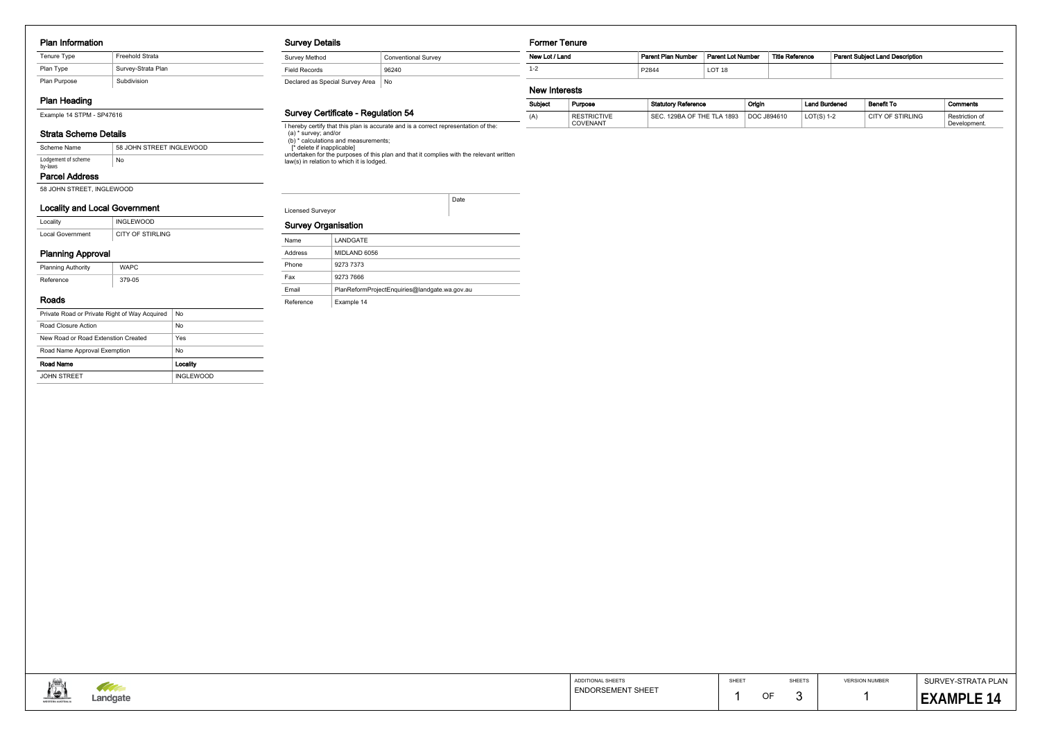#### Plan Information

## Plan Heading

Example 14 STPM - SP47616

### Strata Scheme Details

### Locality and Local Government

| Locality         | <b>INGLEWOOD</b> |
|------------------|------------------|
| Local Government | CITY OF STIRLING |

## Planning Approval

| <b>Planning Authority</b> | <b>WAPC</b> |
|---------------------------|-------------|
| Reference                 | 379-05      |
|                           |             |

## Roads

| Private Road or Private Right of Way Acquired | No               |
|-----------------------------------------------|------------------|
| Road Closure Action                           | No               |
| New Road or Road Extenstion Created           | Yes              |
| Road Name Approval Exemption                  | No               |
| Road Name                                     | Locality         |
| <b>JOHN STREET</b>                            | <b>INGLEWOOD</b> |

#### Survey Details

| Survey Method                   | <b>Conventional Survey</b> |
|---------------------------------|----------------------------|
| <b>Field Records</b>            | 96240                      |
| Declared as Special Survey Area | No                         |

## Survey Certificate - Regulation 54

I hereby certify that this plan is accurate and is a correct representation of the:

(a) \* survey; and/or

(b) \* calculations and measurements;

 [\* delete if inapplicable] undertaken for the purposes of this plan and that it complies with the relevant written law(s) in relation to which it is lodged.

#### Survey Organisation

# Former Tenure

#### New Interests

÷

| New Lot / Land | <b>Parent Plan Number</b> | <b>Parent Lot Number</b> | <b>Title Reference</b> | <b>Parent Subject Land Description</b> |
|----------------|---------------------------|--------------------------|------------------------|----------------------------------------|
| $1 - 2$        | P2844                     | LOT <sub>18</sub>        |                        |                                        |
| Nau Interests  |                           |                          |                        |                                        |

| Subject | Purpose                        | <b>Statutory Reference</b>               | Origin      | <b>Land Burdened</b> | <b>Benefit To</b> | Comments                       |
|---------|--------------------------------|------------------------------------------|-------------|----------------------|-------------------|--------------------------------|
| (A)     | <b>RESTRICTIVE</b><br>COVENANT | 129BA OF THE TLA 1893<br>SE <sub>(</sub> | DOC J894610 | $LOT(S)$ 1-2         | CITY OF STIRLING  | Restriction of<br>Development. |

| Lodgement of scheme<br>by-laws                   | $\overline{\phantom{a}}$ No |                             |                            | law(s) in relation to which it is lodged.     |                                        |       |    |             |                            |                                         |
|--------------------------------------------------|-----------------------------|-----------------------------|----------------------------|-----------------------------------------------|----------------------------------------|-------|----|-------------|----------------------------|-----------------------------------------|
| <b>Parcel Address</b>                            |                             |                             |                            |                                               |                                        |       |    |             |                            |                                         |
| 58 JOHN STREET, INGLEWOOD                        |                             |                             |                            |                                               |                                        |       |    |             |                            |                                         |
| <b>Locality and Local Government</b>             |                             |                             | Licensed Surveyor          | Date                                          |                                        |       |    |             |                            |                                         |
| Locality                                         | INGLEWOOD                   |                             |                            |                                               |                                        |       |    |             |                            |                                         |
| Local Government                                 | CITY OF STIRLING            |                             | <b>Survey Organisation</b> |                                               |                                        |       |    |             |                            |                                         |
|                                                  |                             |                             | Name                       | LANDGATE                                      |                                        |       |    |             |                            |                                         |
| <b>Planning Approval</b>                         |                             |                             | Address                    | MIDLAND 6056                                  |                                        |       |    |             |                            |                                         |
| <b>Planning Authority</b>                        | <b>WAPC</b>                 |                             | Phone                      | 9273 7373<br>9273 7666                        |                                        |       |    |             |                            |                                         |
| Reference                                        | 379-05                      |                             | Fax<br>Email               | PlanReformProjectEnquiries@landgate.wa.gov.au |                                        |       |    |             |                            |                                         |
| Roads                                            |                             |                             | Reference                  | Example 14                                    |                                        |       |    |             |                            |                                         |
| Private Road or Private Right of Way Acquired No |                             |                             |                            |                                               |                                        |       |    |             |                            |                                         |
| Road Closure Action                              |                             | $\overline{\phantom{a}}$ No |                            |                                               |                                        |       |    |             |                            |                                         |
| New Road or Road Extenstion Created              |                             | Yes                         |                            |                                               |                                        |       |    |             |                            |                                         |
| Road Name Approval Exemption                     |                             | $\overline{\phantom{a}}$ No |                            |                                               |                                        |       |    |             |                            |                                         |
| Road Name                                        |                             | Locality                    |                            |                                               |                                        |       |    |             |                            |                                         |
| JOHN STREET                                      |                             | INGLEWOOD                   |                            |                                               |                                        |       |    |             |                            |                                         |
|                                                  |                             |                             |                            |                                               |                                        |       |    |             |                            |                                         |
| <b>TANK</b>                                      | Landgate                    |                             |                            |                                               | ADDITIONAL SHEETS<br>ENDORSEMENT SHEET | SHEET | OF | SHEETS<br>3 | <b>VERSION NUMBER</b><br>1 | SURVEY-STRATA PLAN<br><b>EXAMPLE 14</b> |

| Name      | LANDGATE                                      |
|-----------|-----------------------------------------------|
| Address   | MIDLAND 6056                                  |
| Phone     | 9273 7373                                     |
| Fax       | 9273 7666                                     |
| Fmail     | PlanReformProjectEnguiries@landgate.wa.gov.au |
| Reference | Example 14                                    |

#### Parcel Address

| Scheme Name                    | 58 JOHN STREET INGLEWOOD |
|--------------------------------|--------------------------|
| Lodgement of scheme<br>by-laws | No                       |

| Tenure Type  | Freehold Strata    |
|--------------|--------------------|
| Plan Type    | Survey-Strata Plan |
| Plan Purpose | Subdivision        |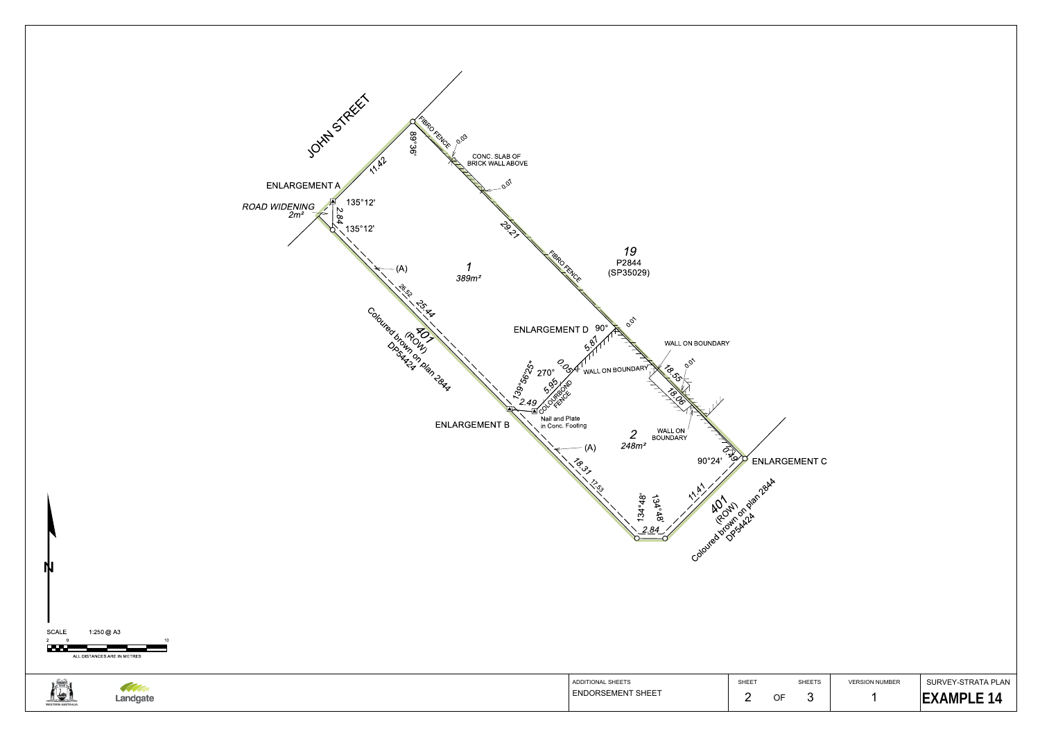

SURVEY-STRATA PLAN**EXAMPLE 14**